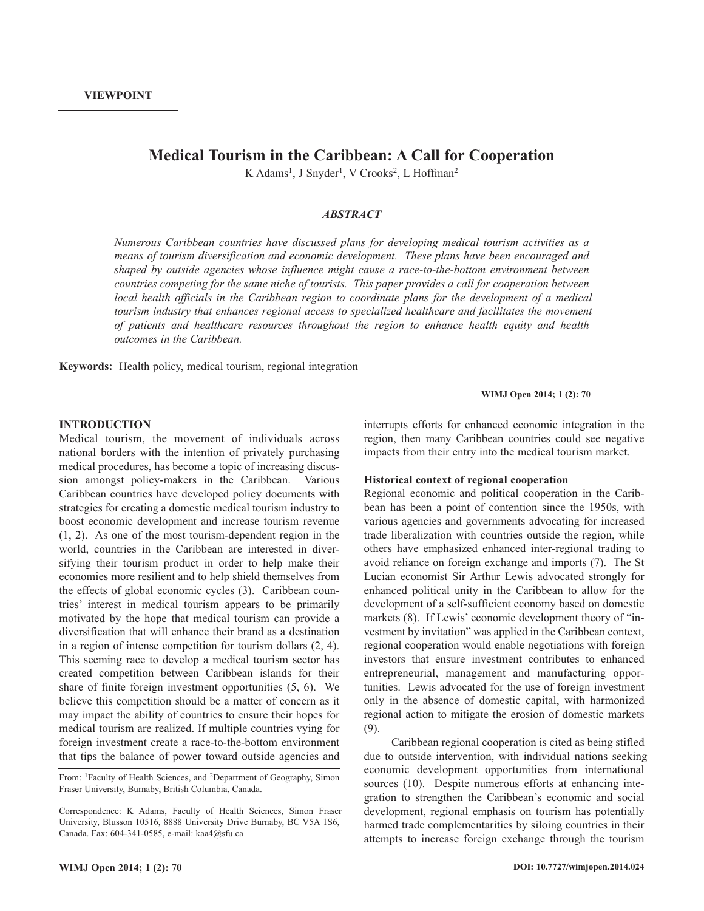# **Medical Tourism in the Caribbean: A Call for Cooperation**

K Adams<sup>1</sup>, J Snyder<sup>1</sup>, V Crooks<sup>2</sup>, L Hoffman<sup>2</sup>

# *ABSTRACT*

*Numerous Caribbean countries have discussed plans for developing medical tourism activities as a means of tourism diversification and economic development. These plans have been encouraged and shaped by outside agencies whose influence might cause a race-to-the-bottom environment between countries competing for the same niche of tourists. This paper provides a call for cooperation between local health officials in the Caribbean region to coordinate plans for the development of a medical tourism industry that enhances regional access to specialized healthcare and facilitates the movement of patients and healthcare resources throughout the region to enhance health equity and health outcomes in the Caribbean.*

**Keywords:** Health policy, medical tourism, regional integration

**WIMJ Open 2014; 1 (2): 70**

## **INTRODUCTION**

Medical tourism, the movement of individuals across national borders with the intention of privately purchasing medical procedures, has become a topic of increasing discussion amongst policy-makers in the Caribbean. Various Caribbean countries have developed policy documents with strategies for creating a domestic medical tourism industry to boost economic development and increase tourism revenue (1, 2). As one of the most tourism-dependent region in the world, countries in the Caribbean are interested in diversifying their tourism product in order to help make their economies more resilient and to help shield themselves from the effects of global economic cycles (3). Caribbean countries' interest in medical tourism appears to be primarily motivated by the hope that medical tourism can provide a diversification that will enhance their brand as a destination in a region of intense competition for tourism dollars (2, 4). This seeming race to develop a medical tourism sector has created competition between Caribbean islands for their share of finite foreign investment opportunities (5, 6). We believe this competition should be a matter of concern as it may impact the ability of countries to ensure their hopes for medical tourism are realized. If multiple countries vying for foreign investment create a race-to-the-bottom environment that tips the balance of power toward outside agencies and interrupts efforts for enhanced economic integration in the region, then many Caribbean countries could see negative impacts from their entry into the medical tourism market.

# **Historical context of regional cooperation**

Regional economic and political cooperation in the Caribbean has been a point of contention since the 1950s, with various agencies and governments advocating for increased trade liberalization with countries outside the region, while others have emphasized enhanced inter-regional trading to avoid reliance on foreign exchange and imports (7). The St Lucian economist Sir Arthur Lewis advocated strongly for enhanced political unity in the Caribbean to allow for the development of a self-sufficient economy based on domestic markets (8). If Lewis' economic development theory of "investment by invitation" was applied in the Caribbean context, regional cooperation would enable negotiations with foreign investors that ensure investment contributes to enhanced entrepreneurial, management and manufacturing opportunities. Lewis advocated for the use of foreign investment only in the absence of domestic capital, with harmonized regional action to mitigate the erosion of domestic markets (9).

Caribbean regional cooperation is cited as being stifled due to outside intervention, with individual nations seeking economic development opportunities from international sources (10). Despite numerous efforts at enhancing integration to strengthen the Caribbean's economic and social development, regional emphasis on tourism has potentially harmed trade complementarities by siloing countries in their attempts to increase foreign exchange through the tourism

From: 1Faculty of Health Sciences, and 2Department of Geography, Simon Fraser University, Burnaby, British Columbia, Canada.

Correspondence: K Adams, Faculty of Health Sciences, Simon Fraser University, Blusson 10516, 8888 University Drive Burnaby, BC V5A 1S6, Canada. Fax: 604-341-0585, e-mail: kaa4@sfu.ca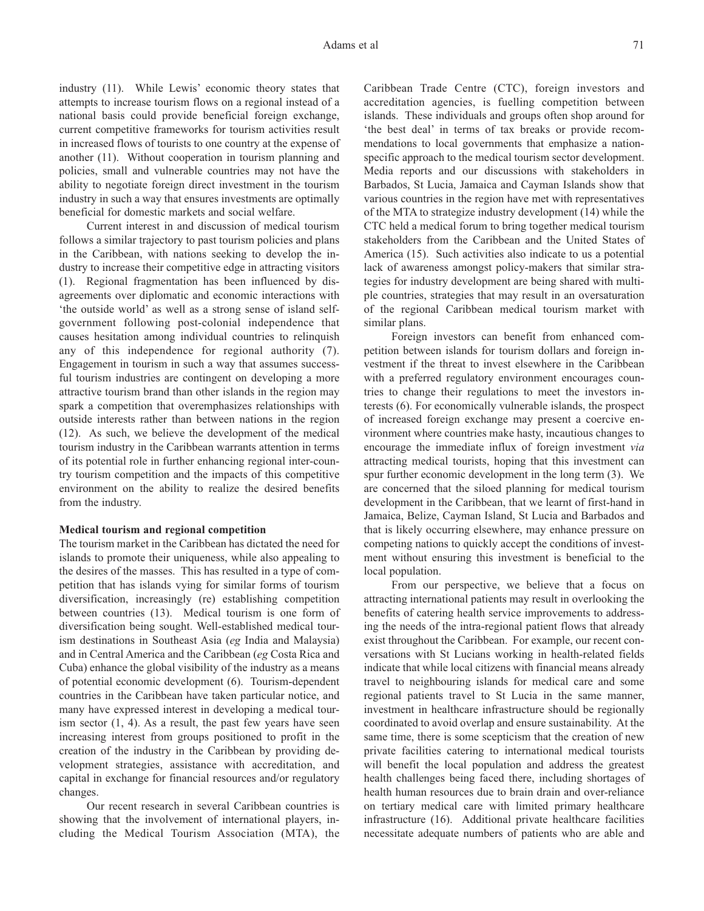industry (11). While Lewis' economic theory states that attempts to increase tourism flows on a regional instead of a national basis could provide beneficial foreign exchange, current competitive frameworks for tourism activities result in increased flows of tourists to one country at the expense of another (11). Without cooperation in tourism planning and policies, small and vulnerable countries may not have the ability to negotiate foreign direct investment in the tourism industry in such a way that ensures investments are optimally beneficial for domestic markets and social welfare.

Current interest in and discussion of medical tourism follows a similar trajectory to past tourism policies and plans in the Caribbean, with nations seeking to develop the industry to increase their competitive edge in attracting visitors (1). Regional fragmentation has been influenced by disagreements over diplomatic and economic interactions with 'the outside world' as well as a strong sense of island selfgovernment following post-colonial independence that causes hesitation among individual countries to relinquish any of this independence for regional authority (7). Engagement in tourism in such a way that assumes successful tourism industries are contingent on developing a more attractive tourism brand than other islands in the region may spark a competition that overemphasizes relationships with outside interests rather than between nations in the region (12). As such, we believe the development of the medical tourism industry in the Caribbean warrants attention in terms of its potential role in further enhancing regional inter-country tourism competition and the impacts of this competitive environment on the ability to realize the desired benefits from the industry.

# **Medical tourism and regional competition**

The tourism market in the Caribbean has dictated the need for islands to promote their uniqueness, while also appealing to the desires of the masses. This has resulted in a type of competition that has islands vying for similar forms of tourism diversification, increasingly (re) establishing competition between countries (13). Medical tourism is one form of diversification being sought. Well-established medical tourism destinations in Southeast Asia (*eg* India and Malaysia) and in Central America and the Caribbean (*eg* Costa Rica and Cuba) enhance the global visibility of the industry as a means of potential economic development (6). Tourism-dependent countries in the Caribbean have taken particular notice, and many have expressed interest in developing a medical tourism sector (1, 4). As a result, the past few years have seen increasing interest from groups positioned to profit in the creation of the industry in the Caribbean by providing development strategies, assistance with accreditation, and capital in exchange for financial resources and/or regulatory changes.

Our recent research in several Caribbean countries is showing that the involvement of international players, including the Medical Tourism Association (MTA), the Caribbean Trade Centre (CTC), foreign investors and accreditation agencies, is fuelling competition between islands. These individuals and groups often shop around for 'the best deal' in terms of tax breaks or provide recommendations to local governments that emphasize a nationspecific approach to the medical tourism sector development. Media reports and our discussions with stakeholders in Barbados, St Lucia, Jamaica and Cayman Islands show that various countries in the region have met with representatives of the MTA to strategize industry development (14) while the CTC held a medical forum to bring together medical tourism stakeholders from the Caribbean and the United States of America (15). Such activities also indicate to us a potential lack of awareness amongst policy-makers that similar strategies for industry development are being shared with multiple countries, strategies that may result in an oversaturation of the regional Caribbean medical tourism market with similar plans.

Foreign investors can benefit from enhanced competition between islands for tourism dollars and foreign investment if the threat to invest elsewhere in the Caribbean with a preferred regulatory environment encourages countries to change their regulations to meet the investors interests (6). For economically vulnerable islands, the prospect of increased foreign exchange may present a coercive environment where countries make hasty, incautious changes to encourage the immediate influx of foreign investment *via* attracting medical tourists, hoping that this investment can spur further economic development in the long term (3). We are concerned that the siloed planning for medical tourism development in the Caribbean, that we learnt of first-hand in Jamaica, Belize, Cayman Island, St Lucia and Barbados and that is likely occurring elsewhere, may enhance pressure on competing nations to quickly accept the conditions of investment without ensuring this investment is beneficial to the local population.

From our perspective, we believe that a focus on attracting international patients may result in overlooking the benefits of catering health service improvements to addressing the needs of the intra-regional patient flows that already exist throughout the Caribbean. For example, our recent conversations with St Lucians working in health-related fields indicate that while local citizens with financial means already travel to neighbouring islands for medical care and some regional patients travel to St Lucia in the same manner, investment in healthcare infrastructure should be regionally coordinated to avoid overlap and ensure sustainability. At the same time, there is some scepticism that the creation of new private facilities catering to international medical tourists will benefit the local population and address the greatest health challenges being faced there, including shortages of health human resources due to brain drain and over-reliance on tertiary medical care with limited primary healthcare infrastructure (16). Additional private healthcare facilities necessitate adequate numbers of patients who are able and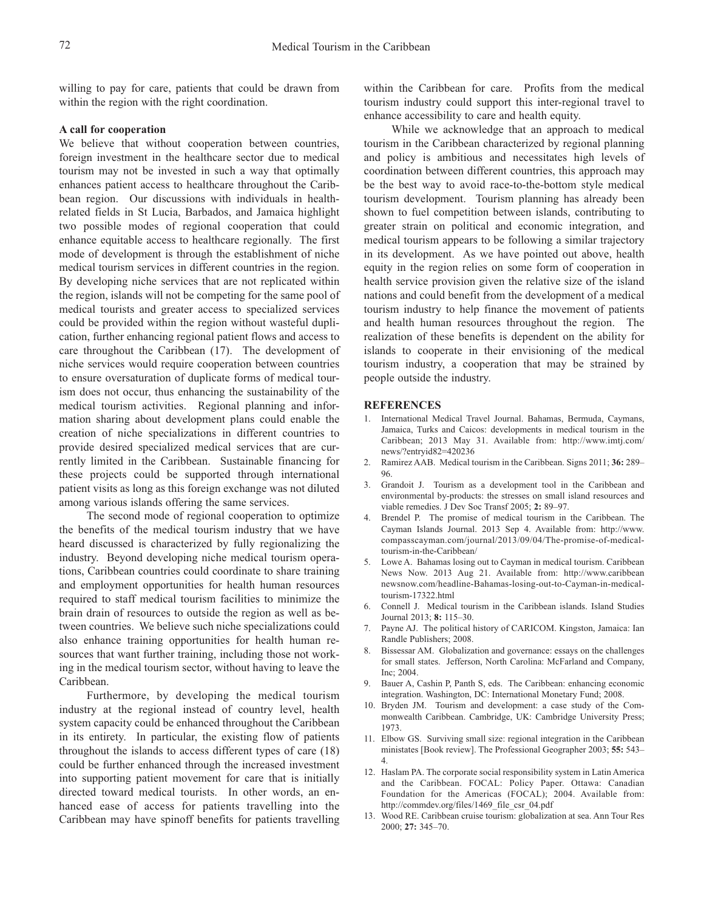willing to pay for care, patients that could be drawn from within the region with the right coordination.

#### **A call for cooperation**

We believe that without cooperation between countries, foreign investment in the healthcare sector due to medical tourism may not be invested in such a way that optimally enhances patient access to healthcare throughout the Caribbean region. Our discussions with individuals in healthrelated fields in St Lucia, Barbados, and Jamaica highlight two possible modes of regional cooperation that could enhance equitable access to healthcare regionally. The first mode of development is through the establishment of niche medical tourism services in different countries in the region. By developing niche services that are not replicated within the region, islands will not be competing for the same pool of medical tourists and greater access to specialized services could be provided within the region without wasteful duplication, further enhancing regional patient flows and access to care throughout the Caribbean (17). The development of niche services would require cooperation between countries to ensure oversaturation of duplicate forms of medical tourism does not occur, thus enhancing the sustainability of the medical tourism activities. Regional planning and information sharing about development plans could enable the creation of niche specializations in different countries to provide desired specialized medical services that are currently limited in the Caribbean. Sustainable financing for these projects could be supported through international patient visits as long as this foreign exchange was not diluted among various islands offering the same services.

The second mode of regional cooperation to optimize the benefits of the medical tourism industry that we have heard discussed is characterized by fully regionalizing the industry. Beyond developing niche medical tourism operations, Caribbean countries could coordinate to share training and employment opportunities for health human resources required to staff medical tourism facilities to minimize the brain drain of resources to outside the region as well as between countries. We believe such niche specializations could also enhance training opportunities for health human resources that want further training, including those not working in the medical tourism sector, without having to leave the Caribbean.

Furthermore, by developing the medical tourism industry at the regional instead of country level, health system capacity could be enhanced throughout the Caribbean in its entirety. In particular, the existing flow of patients throughout the islands to access different types of care (18) could be further enhanced through the increased investment into supporting patient movement for care that is initially directed toward medical tourists. In other words, an enhanced ease of access for patients travelling into the Caribbean may have spinoff benefits for patients travelling within the Caribbean for care. Profits from the medical tourism industry could support this inter-regional travel to enhance accessibility to care and health equity.

While we acknowledge that an approach to medical tourism in the Caribbean characterized by regional planning and policy is ambitious and necessitates high levels of coordination between different countries, this approach may be the best way to avoid race-to-the-bottom style medical tourism development. Tourism planning has already been shown to fuel competition between islands, contributing to greater strain on political and economic integration, and medical tourism appears to be following a similar trajectory in its development. As we have pointed out above, health equity in the region relies on some form of cooperation in health service provision given the relative size of the island nations and could benefit from the development of a medical tourism industry to help finance the movement of patients and health human resources throughout the region. The realization of these benefits is dependent on the ability for islands to cooperate in their envisioning of the medical tourism industry, a cooperation that may be strained by people outside the industry.

## **REFERENCES**

- 1. International Medical Travel Journal. Bahamas, Bermuda, Caymans, Jamaica, Turks and Caicos: developments in medical tourism in the Caribbean; 2013 May 31. Available from: http://www.imtj.com/ news/?entryid82=420236
- 2. Ramirez AAB. Medical tourism in the Caribbean. Signs 2011; **36:** 289– 96.
- 3. Grandoit J. Tourism as a development tool in the Caribbean and environmental by-products: the stresses on small island resources and viable remedies. J Dev Soc Transf 2005; **2:** 89–97.
- 4. Brendel P. The promise of medical tourism in the Caribbean. The Cayman Islands Journal. 2013 Sep 4. Available from: http://www. compasscayman.com/journal/2013/09/04/The-promise-of-medicaltourism-in-the-Caribbean/
- 5. Lowe A. Bahamas losing out to Cayman in medical tourism. Caribbean News Now. 2013 Aug 21. Available from: http://www.caribbean newsnow.com/headline-Bahamas-losing-out-to-Cayman-in-medicaltourism-17322.html
- 6. Connell J. Medical tourism in the Caribbean islands. Island Studies Journal 2013; **8:** 115–30.
- 7. Payne AJ. The political history of CARICOM. Kingston, Jamaica: Ian Randle Publishers; 2008.
- 8. Bissessar AM. Globalization and governance: essays on the challenges for small states. Jefferson, North Carolina: McFarland and Company, Inc; 2004.
- 9. Bauer A, Cashin P, Panth S, eds. The Caribbean: enhancing economic integration. Washington, DC: International Monetary Fund; 2008.
- 10. Bryden JM. Tourism and development: a case study of the Commonwealth Caribbean. Cambridge, UK: Cambridge University Press; 1973.
- 11. Elbow GS. Surviving small size: regional integration in the Caribbean ministates [Book review]. The Professional Geographer 2003; **55:** 543– 4.
- 12. Haslam PA. The corporate social responsibility system in Latin America and the Caribbean. FOCAL: Policy Paper. Ottawa: Canadian Foundation for the Americas (FOCAL); 2004. Available from: http://commdev.org/files/1469\_file\_csr\_04.pdf
- 13. Wood RE. Caribbean cruise tourism: globalization at sea. Ann Tour Res 2000; **27:** 345–70.